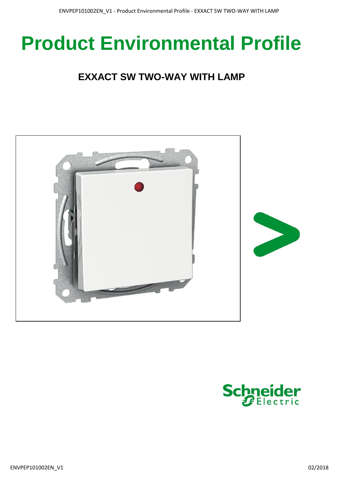# **Product Environmental Profile**

## **EXXACT SW TWO-WAY WITH LAMP**



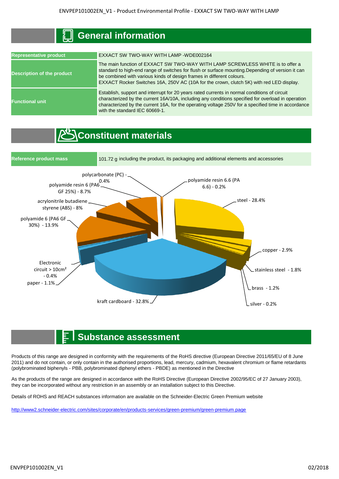### **General information**

| <b>Representative product</b>     | EXXACT SW TWO-WAY WITH LAMP -WDE002164                                                                                                                                                                                                                                                                                                                   |  |  |  |  |  |
|-----------------------------------|----------------------------------------------------------------------------------------------------------------------------------------------------------------------------------------------------------------------------------------------------------------------------------------------------------------------------------------------------------|--|--|--|--|--|
| <b>Description of the product</b> | The main function of EXXACT SW TWO-WAY WITH LAMP SCREWLESS WHITE is to offer a<br>standard to high-end range of switches for flush or surface mounting. Depending of version it can<br>be combined with various kinds of design frames in different colours.<br>EXXACT Rocker Switches 16A, 250V AC (10A for the crown, clutch 5K) with red LED display. |  |  |  |  |  |
| <b>Functional unit</b>            | Establish, support and interrupt for 20 years rated currents in normal conditions of circuit<br>characterized by the current 16A/10A, including any conditions specified for overload in operation<br>characterized by the current 16A, for the operating voltage 250V for a specified time in accordance<br>with the standard IEC 60669-1.              |  |  |  |  |  |

## **Constituent materials**



#### **Substance assessment**

Products of this range are designed in conformity with the requirements of the RoHS directive (European Directive 2011/65/EU of 8 June 2011) and do not contain, or only contain in the authorised proportions, lead, mercury, cadmium, hexavalent chromium or flame retardants (polybrominated biphenyls - PBB, polybrominated diphenyl ethers - PBDE) as mentioned in the Directive

As the products of the range are designed in accordance with the RoHS Directive (European Directive 2002/95/EC of 27 January 2003), they can be incorporated without any restriction in an assembly or an installation subject to this Directive.

Details of ROHS and REACH substances information are available on the Schneider-Electric Green Premium website

[http://www2.schneide](http://www2.schneider-electric.com/sites/corporate/en/products-services/green-premium/green-premium.page)r-electric.com/sites/corporate/en/products-services/green-premium/green-premium.page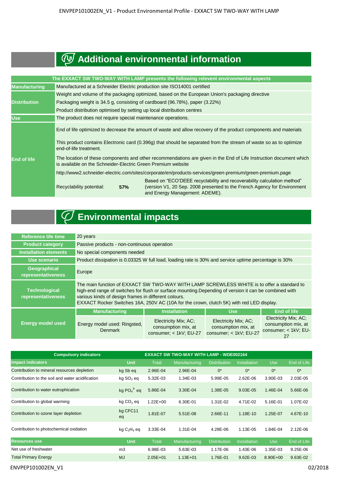## **Additional environmental information**

|                      |                                                                                                                                                                                    |                                                                         | The EXXACT SW TWO-WAY WITH LAMP presents the following relevent environmental aspects                                                                                                 |  |  |  |  |
|----------------------|------------------------------------------------------------------------------------------------------------------------------------------------------------------------------------|-------------------------------------------------------------------------|---------------------------------------------------------------------------------------------------------------------------------------------------------------------------------------|--|--|--|--|
| <b>Manufacturing</b> | Manufactured at a Schneider Electric production site ISO14001 certified                                                                                                            |                                                                         |                                                                                                                                                                                       |  |  |  |  |
|                      | Weight and volume of the packaging optimized, based on the European Union's packaging directive                                                                                    |                                                                         |                                                                                                                                                                                       |  |  |  |  |
| <b>Distribution</b>  | Packaging weight is 34.5 g, consisting of cardboard (96.78%), paper (3.22%)                                                                                                        |                                                                         |                                                                                                                                                                                       |  |  |  |  |
|                      |                                                                                                                                                                                    | Product distribution optimised by setting up local distribution centres |                                                                                                                                                                                       |  |  |  |  |
| <b>Use</b>           | The product does not require special maintenance operations.                                                                                                                       |                                                                         |                                                                                                                                                                                       |  |  |  |  |
|                      |                                                                                                                                                                                    |                                                                         | End of life optimized to decrease the amount of waste and allow recovery of the product components and materials                                                                      |  |  |  |  |
|                      | This product contains Electronic card (0.396g) that should be separated from the stream of waste so as to optimize<br>end-of-life treatment.                                       |                                                                         |                                                                                                                                                                                       |  |  |  |  |
| <b>End of life</b>   | The location of these components and other recommendations are given in the End of Life Instruction document which<br>is available on the Schneider-Electric Green Premium website |                                                                         |                                                                                                                                                                                       |  |  |  |  |
|                      | http://www2.schneider-electric.com/sites/corporate/en/products-services/green-premium/green-premium.page                                                                           |                                                                         |                                                                                                                                                                                       |  |  |  |  |
|                      | Recyclability potential:                                                                                                                                                           | 57%                                                                     | Based on "ECO'DEEE recyclability and recoverability calculation method"<br>(version V1, 20 Sep. 2008 presented to the French Agency for Environment<br>and Energy Management: ADEME). |  |  |  |  |

## **Environmental impacts**

| <b>Reference life time</b>                 | 20 years                                                                                                                                                                                                                                                                                                                                                 |                                                                       |                                                                       |                                                                           |  |  |
|--------------------------------------------|----------------------------------------------------------------------------------------------------------------------------------------------------------------------------------------------------------------------------------------------------------------------------------------------------------------------------------------------------------|-----------------------------------------------------------------------|-----------------------------------------------------------------------|---------------------------------------------------------------------------|--|--|
| <b>Product category</b>                    | Passive products - non-continuous operation                                                                                                                                                                                                                                                                                                              |                                                                       |                                                                       |                                                                           |  |  |
| <b>Installation elements</b>               | No special components needed                                                                                                                                                                                                                                                                                                                             |                                                                       |                                                                       |                                                                           |  |  |
| Use scenario                               | Product dissipation is 0.03325 W full load, loading rate is 30% and service uptime percentage is 30%                                                                                                                                                                                                                                                     |                                                                       |                                                                       |                                                                           |  |  |
| Geographical<br>representativeness         | Europe                                                                                                                                                                                                                                                                                                                                                   |                                                                       |                                                                       |                                                                           |  |  |
| <b>Technological</b><br>representativeness | The main function of EXXACT SW TWO-WAY WITH LAMP SCREWLESS WHITE is to offer a standard to<br>high-end range of switches for flush or surface mounting. Depending of version it can be combined with<br>various kinds of design frames in different colours.<br>EXXACT Rocker Switches 16A, 250V AC (10A for the crown, clutch 5K) with red LED display. |                                                                       |                                                                       |                                                                           |  |  |
|                                            | <b>Manufacturing</b>                                                                                                                                                                                                                                                                                                                                     | <b>Installation</b>                                                   | <b>Use</b>                                                            | <b>End of life</b>                                                        |  |  |
| <b>Energy model used</b>                   | Energy model used: Ringsted,<br><b>Denmark</b>                                                                                                                                                                                                                                                                                                           | Electricity Mix; AC;<br>consumption mix, at<br>consumer: < 1kV: EU-27 | Electricity Mix; AC;<br>consumption mix, at<br>consumer; < 1kV; EU-27 | Electricity Mix; AC;<br>consumption mix, at<br>consumer; < 1kV; EU-<br>27 |  |  |

| <b>Compulsory indicators</b>                     | <b>EXXACT SW TWO-WAY WITH LAMP - WDE002164</b> |              |                      |                     |                     |              |             |
|--------------------------------------------------|------------------------------------------------|--------------|----------------------|---------------------|---------------------|--------------|-------------|
| <b>Impact indicators</b>                         | <b>Unit</b>                                    | <b>Total</b> | <b>Manufacturing</b> | <b>Distribution</b> | <b>Installation</b> | <b>Use</b>   | End of Life |
| Contribution to mineral resources depletion      | kg Sb eq                                       | 2.96E-04     | 2.96E-04             | $0^*$               | $0^*$               | $0^*$        | $0^*$       |
| Contribution to the soil and water acidification | kg SO <sub>2</sub> eq                          | 5.32E-03     | 1.34E-03             | 5.99E-05            | 2.62E-06            | 3.90E-03     | 2.03E-05    |
| Contribution to water eutrophication             | kg $PO43$ eq                                   | 5.86E-04     | 3.30E-04             | 1.38E-05            | 9.03E-05            | 1.46E-04     | 5.66E-06    |
| Contribution to global warming                   | $kg CO2$ eq                                    | $1.22E + 00$ | 6.30E-01             | 1.31E-02            | 4.71E-02            | 5.16E-01     | 1.07E-02    |
| Contribution to ozone layer depletion            | kg CFC11<br>eq                                 | 1.81E-07     | 5.51E-08             | 2.66E-11            | 1.18E-10            | 1.25E-07     | 4.67E-10    |
| Contribution to photochemical oxidation          | kg $C_2H_4$ eq                                 | 3.33E-04     | 1.31E-04             | 4.28E-06            | 1.13E-05            | 1.84E-04     | 2.12E-06    |
| <b>Resources use</b>                             | <b>Unit</b>                                    | <b>Total</b> | Manufacturing        | <b>Distribution</b> | <b>Installation</b> | <b>Use</b>   | End of Life |
| Net use of freshwater                            | m <sub>3</sub>                                 | 6.98E-03     | 5.63E-03             | 1.17E-06            | 1.43E-06            | 1.35E-03     | $9.25E-06$  |
| <b>Total Primary Energy</b>                      | <b>MJ</b>                                      | $2.05E + 01$ | $1.13E + 01$         | 1.76E-01            | 9.62E-03            | $8.90E + 00$ | $9.63E-02$  |
|                                                  |                                                |              |                      |                     |                     |              |             |

```
ENVPEP101002EN_V1 02/2018
```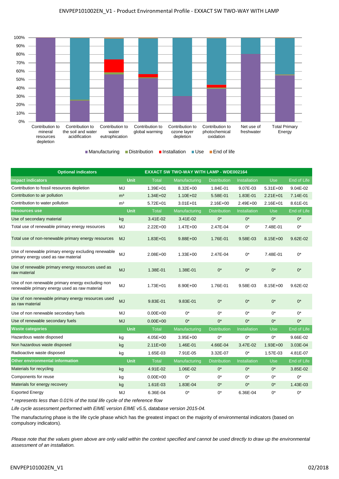

| <b>Optional indicators</b>                                                                         | <b>EXXACT SW TWO-WAY WITH LAMP - WDE002164</b> |              |               |                     |                     |              |             |
|----------------------------------------------------------------------------------------------------|------------------------------------------------|--------------|---------------|---------------------|---------------------|--------------|-------------|
| <b>Impact indicators</b>                                                                           | <b>Unit</b>                                    | Total        | Manufacturing | <b>Distribution</b> | <b>Installation</b> | <b>Use</b>   | End of Life |
| Contribution to fossil resources depletion                                                         | MJ                                             | $1.39E + 01$ | 8.32E+00      | 1.84E-01            | 9.07E-03            | $5.31E+00$   | 9.04E-02    |
| Contribution to air pollution                                                                      | m <sup>3</sup>                                 | $1.34E + 02$ | $1.10E + 02$  | 5.58E-01            | 1.83E-01            | $2.21E + 01$ | 7.14E-01    |
| Contribution to water pollution                                                                    | m <sup>3</sup>                                 | $5.72E + 01$ | $3.01E + 01$  | $2.16E + 00$        | 2.49E+00            | $2.16E + 01$ | 8.61E-01    |
| <b>Resources use</b>                                                                               | <b>Unit</b>                                    | <b>Total</b> | Manufacturing | <b>Distribution</b> | Installation        | <b>Use</b>   | End of Life |
| Use of secondary material                                                                          | kg                                             | 3.41E-02     | 3.41E-02      | $0^*$               | $0^*$               | $0^*$        | $0^*$       |
| Total use of renewable primary energy resources                                                    | MJ                                             | $2.22E + 00$ | $1.47E + 00$  | 2.47E-04            | $0^*$               | 7.48E-01     | $0^*$       |
| Total use of non-renewable primary energy resources                                                | MJ                                             | $1.83E + 01$ | $9.88E + 00$  | 1.76E-01            | 9.58E-03            | 8.15E+00     | 9.62E-02    |
| Use of renewable primary energy excluding renewable<br>primary energy used as raw material         | MJ                                             | 2.08E+00     | $1.33E + 00$  | 2.47E-04            | $0^*$               | 7.48E-01     | $0^*$       |
| Use of renewable primary energy resources used as<br>raw material                                  | <b>MJ</b>                                      | 1.38E-01     | 1.38E-01      | $0^*$               | $0^*$               | $0^*$        | $0^*$       |
| Use of non renewable primary energy excluding non<br>renewable primary energy used as raw material | MJ                                             | $1.73E + 01$ | 8.90E+00      | 1.76E-01            | 9.58E-03            | 8.15E+00     | 9.62E-02    |
| Use of non renewable primary energy resources used<br>as raw material                              | <b>MJ</b>                                      | 9.83E-01     | 9.83E-01      | $0^*$               | $0^*$               | $0^*$        | $0^*$       |
| Use of non renewable secondary fuels                                                               | MJ                                             | $0.00E + 00$ | $0^*$         | $0^*$               | $0^*$               | $0^*$        | $0^*$       |
| Use of renewable secondary fuels                                                                   | <b>MJ</b>                                      | $0.00E + 00$ | $0^*$         | $0^*$               | $0^*$               | $0^*$        | $0^*$       |
| <b>Waste categories</b>                                                                            | <b>Unit</b>                                    | <b>Total</b> | Manufacturing | <b>Distribution</b> | Installation        | <b>Use</b>   | End of Life |
| Hazardous waste disposed                                                                           | kg                                             | $4.05E + 00$ | $3.95E + 00$  | $0^*$               | $0^*$               | $0^*$        | 9.66E-02    |
| Non hazardous waste disposed                                                                       | kg                                             | $2.11E+00$   | 1.46E-01      | 4.66E-04            | 3.47E-02            | $1.93E + 00$ | 3.03E-04    |
| Radioactive waste disposed                                                                         | kg                                             | 1.65E-03     | 7.91E-05      | 3.32E-07            | $0^*$               | 1.57E-03     | 4.81E-07    |
| <b>Other environmental information</b>                                                             | Unit                                           | <b>Total</b> | Manufacturing | <b>Distribution</b> | Installation        | <b>Use</b>   | End of Life |
| Materials for recycling                                                                            | kg                                             | 4.91E-02     | 1.06E-02      | $0^*$               | $0^*$               | $0^*$        | 3.85E-02    |
| Components for reuse                                                                               | kg                                             | $0.00E + 00$ | $0^*$         | $0^*$               | $0^*$               | $0^*$        | $0^*$       |
| Materials for energy recovery                                                                      | kg                                             | 1.61E-03     | 1.83E-04      | $0^*$               | $0^*$               | $0^*$        | 1.43E-03    |
| <b>Exported Energy</b>                                                                             | MJ                                             | 6.36E-04     | $0^*$         | $0^*$               | 6.36E-04            | $0^*$        | $0^*$       |

*\* represents less than 0.01% of the total life cycle of the reference flow*

*Life cycle assessment performed with EIME version EIME v5.5, database version 2015-04.*

The manufacturing phase is the life cycle phase which has the greatest impact on the majority of environmental indicators (based on compulsory indicators).

*Please note that the values given above are only valid within the context specified and cannot be used directly to draw up the environmental assessment of an installation.*